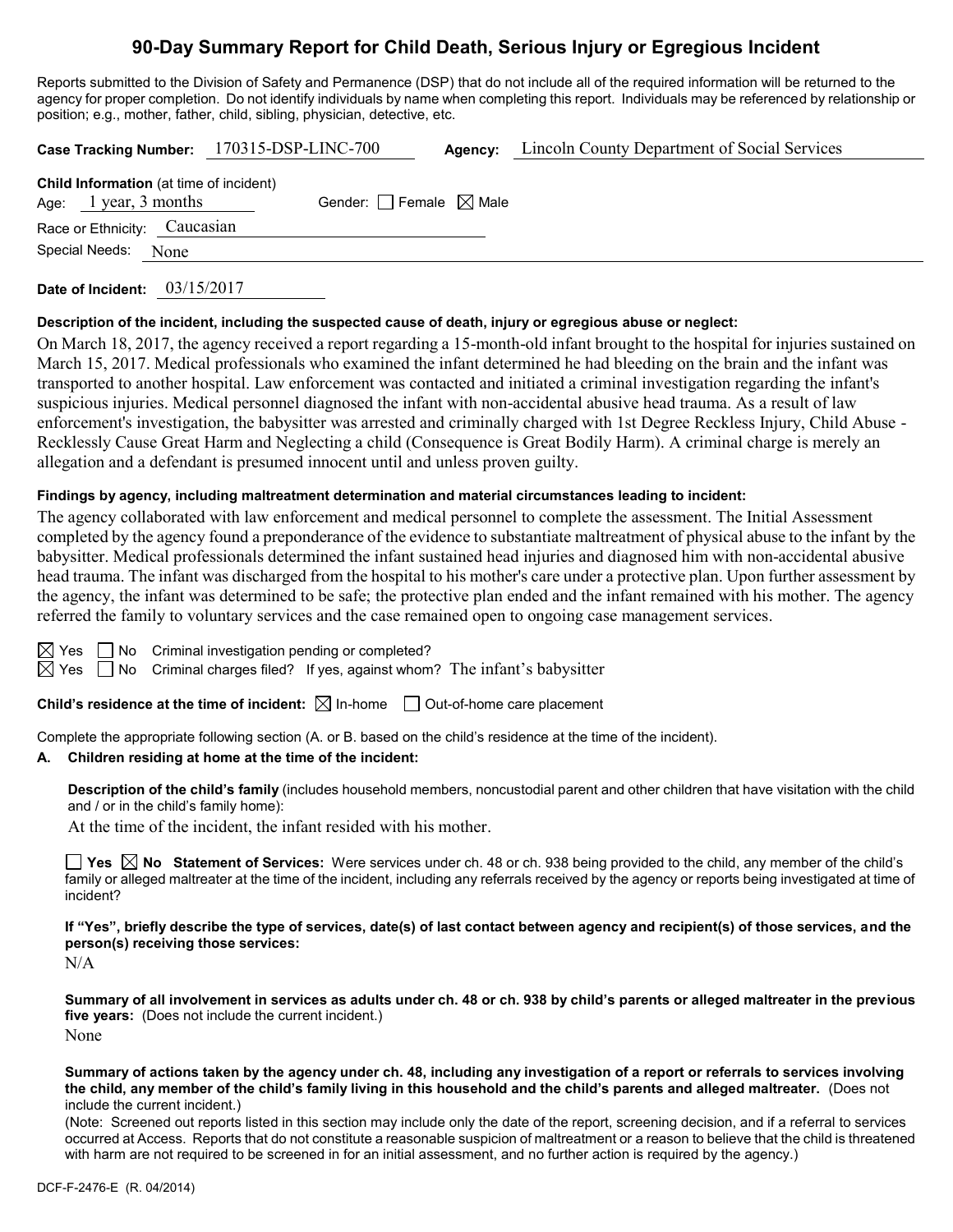# **90-Day Summary Report for Child Death, Serious Injury or Egregious Incident**

Reports submitted to the Division of Safety and Permanence (DSP) that do not include all of the required information will be returned to the agency for proper completion. Do not identify individuals by name when completing this report. Individuals may be referenced by relationship or position; e.g., mother, father, child, sibling, physician, detective, etc.

|                                                                           | Case Tracking Number: 170315-DSP-LINC-700 | <b>Agency:</b> Lincoln County Department of Social Services |
|---------------------------------------------------------------------------|-------------------------------------------|-------------------------------------------------------------|
| <b>Child Information</b> (at time of incident)<br>Age: $1$ year, 3 months | Gender: $\Box$ Female $\boxtimes$ Male    |                                                             |
| Race or Ethnicity: Caucasian                                              |                                           |                                                             |
| Special Needs: None                                                       |                                           |                                                             |
|                                                                           |                                           |                                                             |

**Date of Incident:** 03/15/2017

#### **Description of the incident, including the suspected cause of death, injury or egregious abuse or neglect:**

On March 18, 2017, the agency received a report regarding a 15-month-old infant brought to the hospital for injuries sustained on March 15, 2017. Medical professionals who examined the infant determined he had bleeding on the brain and the infant was transported to another hospital. Law enforcement was contacted and initiated a criminal investigation regarding the infant's suspicious injuries. Medical personnel diagnosed the infant with non-accidental abusive head trauma. As a result of law enforcement's investigation, the babysitter was arrested and criminally charged with 1st Degree Reckless Injury, Child Abuse - Recklessly Cause Great Harm and Neglecting a child (Consequence is Great Bodily Harm). A criminal charge is merely an allegation and a defendant is presumed innocent until and unless proven guilty.

#### **Findings by agency, including maltreatment determination and material circumstances leading to incident:**

The agency collaborated with law enforcement and medical personnel to complete the assessment. The Initial Assessment completed by the agency found a preponderance of the evidence to substantiate maltreatment of physical abuse to the infant by the babysitter. Medical professionals determined the infant sustained head injuries and diagnosed him with non-accidental abusive head trauma. The infant was discharged from the hospital to his mother's care under a protective plan. Upon further assessment by the agency, the infant was determined to be safe; the protective plan ended and the infant remained with his mother. The agency referred the family to voluntary services and the case remained open to ongoing case management services.

|  | $\boxtimes$ Yes $\Box$ No Criminal investigation pending or completed? |                                                                                                     |
|--|------------------------------------------------------------------------|-----------------------------------------------------------------------------------------------------|
|  |                                                                        | $\boxtimes$ Yes $\;\;\Box$ No Criminal charges filed? If yes, against whom? The infant's babysitter |

**Child's residence at the time of incident:**  $\boxtimes$  In-home  $\Box$  Out-of-home care placement

Complete the appropriate following section (A. or B. based on the child's residence at the time of the incident).

#### **A. Children residing at home at the time of the incident:**

**Description of the child's family** (includes household members, noncustodial parent and other children that have visitation with the child and / or in the child's family home):

At the time of the incident, the infant resided with his mother.

■ Yes **No** Statement of Services: Were services under ch. 48 or ch. 938 being provided to the child, any member of the child's family or alleged maltreater at the time of the incident, including any referrals received by the agency or reports being investigated at time of incident?

**If "Yes", briefly describe the type of services, date(s) of last contact between agency and recipient(s) of those services, and the person(s) receiving those services:**

N/A

**Summary of all involvement in services as adults under ch. 48 or ch. 938 by child's parents or alleged maltreater in the previous five years:** (Does not include the current incident.) None

**Summary of actions taken by the agency under ch. 48, including any investigation of a report or referrals to services involving the child, any member of the child's family living in this household and the child's parents and alleged maltreater.** (Does not include the current incident.)

(Note: Screened out reports listed in this section may include only the date of the report, screening decision, and if a referral to services occurred at Access. Reports that do not constitute a reasonable suspicion of maltreatment or a reason to believe that the child is threatened with harm are not required to be screened in for an initial assessment, and no further action is required by the agency.)